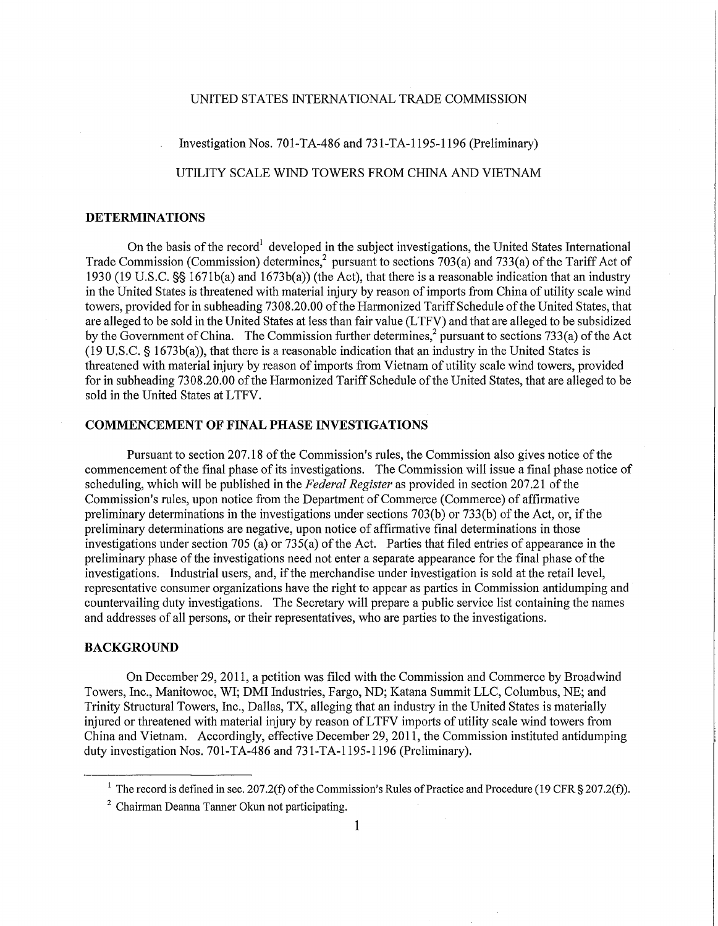## UNITED STATES INTERNATIONAL TRADE COMMISSION

Investigation Nos. 701-TA-486 and 731-TA-1195-1196 (Preliminary)

UTILITY SCALE WIND TOWERS FROM CHINA AND VIETNAM

## **DETERMINATIONS**

On the basis of the record<sup>1</sup> developed in the subject investigations, the United States International Trade Commission (Commission) determines,  $\gamma$  pursuant to sections 703(a) and 733(a) of the Tariff Act of 1930 (19 U.S.C. §§ 1671b(a) and 1673b(a)) (the Act), that there is a reasonable indication that an industry in the United States is threatened with material injury by reason of imports from China of utility scale wind towers, provided for in subheading 7308.20.00 of the Harmonized Tariff Schedule of the United States, that are alleged to be sold in the United States at less than fair value (LTFV) and that are alleged to be subsidized by the Government of China. The Commission further determines, <sup>2</sup> pursuant to sections 733(a) of the Act (19 U.S.C. § 1673b(a)), that there is a reasonable indication that an industry in the United States is threatened with material injury by reason of imports from Vietnam of utility scale wind towers, provided for in subheading 7308.20.00 of the Harmonized Tariff Schedule of the United States, that are alleged to be sold in the United States at LTFV.

## **COMMENCEMENT OF FINAL PHASE INVESTIGATIONS**

Pursuant to section 207.18 of the Commission's rules, the Commission also gives notice of the commencement of the final phase of its investigations. The Commission will issue a final phase notice of scheduling, which will be published in the *Federal Register* as provided in section 207.21 of the Commission's rules, upon notice from the Department of Commerce (Commerce) of affirmative preliminary determinations in the investigations under sections 703(b) or 733(b) of the Act, or, if the preliminary determinations are negative, upon notice of affirmative final determinations in those investigations under section 705 (a) or 735(a) of the Act. Parties that filed entries of appearance in the preliminaiy phase of the investigations need not enter a separate appearance for the final phase of the investigations. Industrial users, and, if the merchandise under investigation is sold at the retail level, representative consumer organizations have the right to appear as parties in Commission antidumping and countervailing duty investigations. The Secretary will prepare a public service list containing the names and addresses of all persons, or their representatives, who are parties to the investigations.

## **BACKGROUND**

On December 29, 2011, a petition was filed with the Commission and Commerce by Broadwind Towers, Inc., Manitowoc, WT; DMI Industries, Fargo, ND; Katana Summit LLC , Columbus, NE; and Trinity Structural Towers, Inc., Dallas, TX, alleging that an industry in the United States is materially injured or threatened with material injury by reason of LTFV imports of utility scale wind towers from China and Vietnam. Accordingly, effective December 29, 2011, the Commission instituted antidumping duty investigation Nos. 701-TA-486 and 731-TA-l 195-1196 (Preliminary).

<sup>&</sup>lt;sup>1</sup> The record is defined in sec. 207.2(f) of the Commission's Rules of Practice and Procedure (19 CFR § 207.2(f)).

<sup>&</sup>lt;sup>2</sup> Chairman Deanna Tanner Okun not participating.